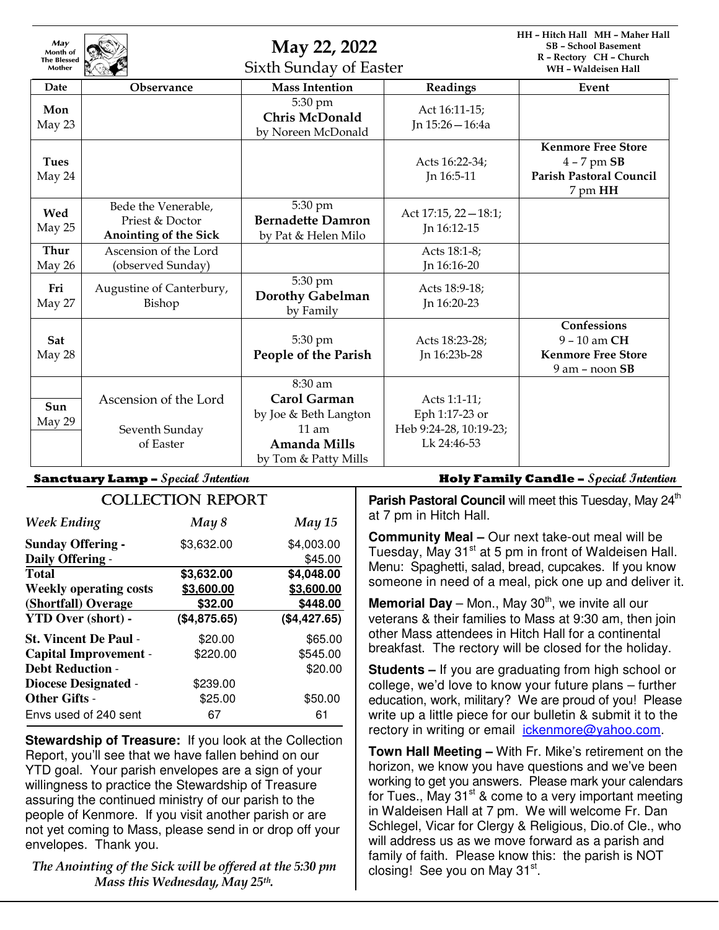| May<br>Month of<br><b>The Blessed</b><br>Mother |                                                                        | May 22, 2022<br>Sixth Sunday of Easter                     |                                                         | HH - Hitch Hall MH - Maher Hall<br><b>SB</b> - School Basement<br>R - Rectory CH - Church<br>WH - Waldeisen Hall |
|-------------------------------------------------|------------------------------------------------------------------------|------------------------------------------------------------|---------------------------------------------------------|------------------------------------------------------------------------------------------------------------------|
| Date                                            | <b>Observance</b>                                                      | <b>Mass Intention</b>                                      | Readings                                                | Event                                                                                                            |
| Mon<br>May 23                                   |                                                                        | 5:30 pm<br><b>Chris McDonald</b><br>by Noreen McDonald     | Act 16:11-15;<br>Jn 15:26 - 16:4a                       |                                                                                                                  |
| <b>Tues</b><br>May 24                           |                                                                        |                                                            | Acts 16:22-34;<br>In 16:5-11                            | <b>Kenmore Free Store</b><br>$4 - 7$ pm $SB$<br><b>Parish Pastoral Council</b><br>7 pm HH                        |
| Wed<br>May 25                                   | Bede the Venerable,<br>Priest & Doctor<br><b>Anointing of the Sick</b> | 5:30 pm<br><b>Bernadette Damron</b><br>by Pat & Helen Milo | Act 17:15, 22-18:1;<br>In 16:12-15                      |                                                                                                                  |
| <b>Thur</b><br>May 26                           | Ascension of the Lord<br>(observed Sunday)                             |                                                            | Acts 18:1-8;<br>In 16:16-20                             |                                                                                                                  |
| Fri<br>May 27                                   | Augustine of Canterbury,<br>Bishop                                     | 5:30 pm<br><b>Dorothy Gabelman</b><br>by Family            | Acts 18:9-18;<br>In 16:20-23                            |                                                                                                                  |
| Sat<br>May 28                                   |                                                                        | 5:30 pm<br>People of the Parish                            | Acts 18:23-28;<br>Jn 16:23b-28                          | Confessions<br>9 - 10 am CH<br><b>Kenmore Free Store</b><br>$9$ am $-$ noon $SB$                                 |
| Sun                                             | Ascension of the Lord                                                  | 8:30 am<br><b>Carol Garman</b>                             | Acts 1:1-11;                                            |                                                                                                                  |
| May 29                                          | Seventh Sunday<br>of Easter                                            | by Joe & Beth Langton<br>$11$ am<br>Amanda Mills           | Eph 1:17-23 or<br>Heb 9:24-28, 10:19-23;<br>Lk 24:46-53 |                                                                                                                  |
|                                                 |                                                                        | by Tom & Patty Mills                                       |                                                         |                                                                                                                  |

| <b>COLLECTION REPORT</b>      |              |               |  |  |  |
|-------------------------------|--------------|---------------|--|--|--|
| <b>Week Ending</b>            | May 8        | <b>May 15</b> |  |  |  |
| <b>Sunday Offering -</b>      | \$3,632.00   | \$4,003.00    |  |  |  |
| Daily Offering -              |              | \$45.00       |  |  |  |
| <b>Total</b>                  | \$3,632.00   | \$4,048.00    |  |  |  |
| <b>Weekly operating costs</b> | \$3,600.00   | \$3,600.00    |  |  |  |
| (Shortfall) Overage           | \$32.00      | \$448.00      |  |  |  |
| <b>YTD Over (short) -</b>     | (\$4,875.65) | (\$4,427.65)  |  |  |  |
| <b>St. Vincent De Paul -</b>  | \$20.00      | \$65.00       |  |  |  |
| <b>Capital Improvement -</b>  | \$220.00     | \$545.00      |  |  |  |
| <b>Debt Reduction -</b>       |              | \$20.00       |  |  |  |
| <b>Diocese Designated -</b>   | \$239.00     |               |  |  |  |
| <b>Other Gifts -</b>          | \$25.00      | \$50.00       |  |  |  |
| Envs used of 240 sent         | 67           | 61            |  |  |  |

**Stewardship of Treasure:** If you look at the Collection Report, you'll see that we have fallen behind on our YTD goal. Your parish envelopes are a sign of your willingness to practice the Stewardship of Treasure assuring the continued ministry of our parish to the people of Kenmore. If you visit another parish or are not yet coming to Mass, please send in or drop off your envelopes. Thank you.

*The Anointing of the Sick will be offered at the 5:30 pm Mass this Wednesday, May 25th .* 

**Sanctuary Lamp – Special Intention Holy Family Candle – Special Intention**

**Parish Pastoral Council** will meet this Tuesday, May 24<sup>th</sup> at 7 pm in Hitch Hall.

**Community Meal –** Our next take-out meal will be Tuesday, May 31<sup>st</sup> at 5 pm in front of Waldeisen Hall. Menu: Spaghetti, salad, bread, cupcakes. If you know someone in need of a meal, pick one up and deliver it.

**Memorial Day** – Mon., May  $30<sup>th</sup>$ , we invite all our veterans & their families to Mass at 9:30 am, then join other Mass attendees in Hitch Hall for a continental breakfast. The rectory will be closed for the holiday.

**Students –** If you are graduating from high school or college, we'd love to know your future plans – further education, work, military? We are proud of you! Please write up a little piece for our bulletin & submit it to the rectory in writing or email ickenmore@yahoo.com.

**Town Hall Meeting –** With Fr. Mike's retirement on the horizon, we know you have questions and we've been working to get you answers. Please mark your calendars for Tues., May  $31<sup>st</sup>$  & come to a very important meeting in Waldeisen Hall at 7 pm. We will welcome Fr. Dan Schlegel, Vicar for Clergy & Religious, Dio.of Cle., who will address us as we move forward as a parish and family of faith. Please know this: the parish is NOT closing! See you on May 31st.